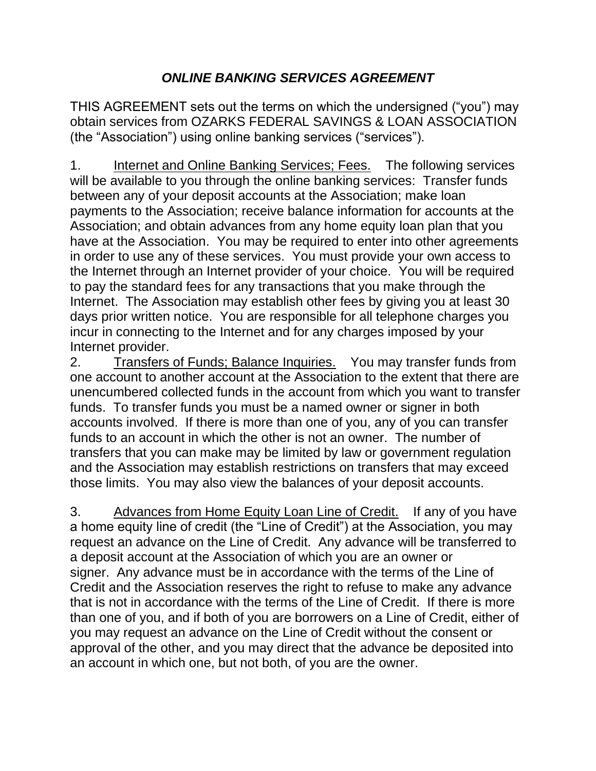## *ONLINE BANKING SERVICES AGREEMENT*

THIS AGREEMENT sets out the terms on which the undersigned ("you") may obtain services from OZARKS FEDERAL SAVINGS & LOAN ASSOCIATION (the "Association") using online banking services ("services").

1. Internet and Online Banking Services; Fees. The following services will be available to you through the online banking services: Transfer funds between any of your deposit accounts at the Association; make loan payments to the Association; receive balance information for accounts at the Association; and obtain advances from any home equity loan plan that you have at the Association. You may be required to enter into other agreements in order to use any of these services. You must provide your own access to the Internet through an Internet provider of your choice. You will be required to pay the standard fees for any transactions that you make through the Internet. The Association may establish other fees by giving you at least 30 days prior written notice. You are responsible for all telephone charges you incur in connecting to the Internet and for any charges imposed by your Internet provider.

2. Transfers of Funds; Balance Inquiries. You may transfer funds from one account to another account at the Association to the extent that there are unencumbered collected funds in the account from which you want to transfer funds. To transfer funds you must be a named owner or signer in both accounts involved. If there is more than one of you, any of you can transfer funds to an account in which the other is not an owner. The number of transfers that you can make may be limited by law or government regulation and the Association may establish restrictions on transfers that may exceed those limits. You may also view the balances of your deposit accounts.

3. Advances from Home Equity Loan Line of Credit. If any of you have a home equity line of credit (the "Line of Credit") at the Association, you may request an advance on the Line of Credit. Any advance will be transferred to a deposit account at the Association of which you are an owner or signer. Any advance must be in accordance with the terms of the Line of Credit and the Association reserves the right to refuse to make any advance that is not in accordance with the terms of the Line of Credit. If there is more than one of you, and if both of you are borrowers on a Line of Credit, either of you may request an advance on the Line of Credit without the consent or approval of the other, and you may direct that the advance be deposited into an account in which one, but not both, of you are the owner.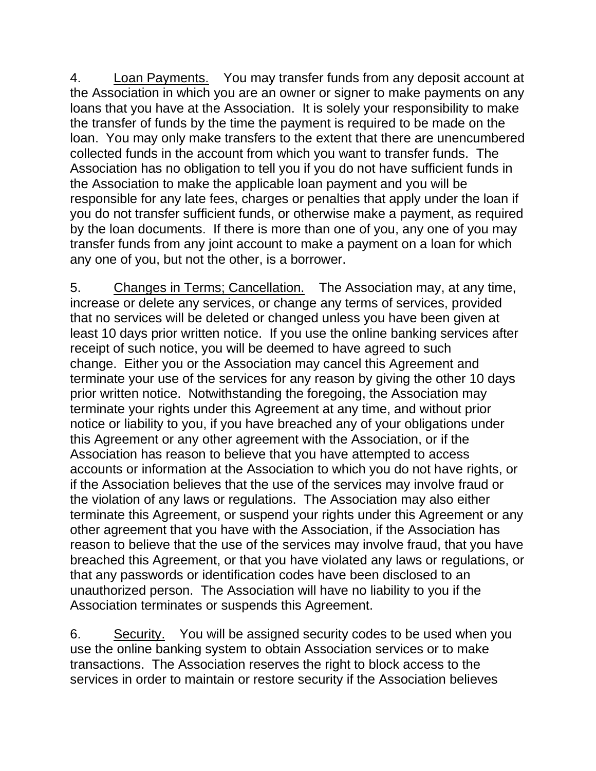4. Loan Payments. You may transfer funds from any deposit account at the Association in which you are an owner or signer to make payments on any loans that you have at the Association. It is solely your responsibility to make the transfer of funds by the time the payment is required to be made on the loan. You may only make transfers to the extent that there are unencumbered collected funds in the account from which you want to transfer funds. The Association has no obligation to tell you if you do not have sufficient funds in the Association to make the applicable loan payment and you will be responsible for any late fees, charges or penalties that apply under the loan if you do not transfer sufficient funds, or otherwise make a payment, as required by the loan documents. If there is more than one of you, any one of you may transfer funds from any joint account to make a payment on a loan for which any one of you, but not the other, is a borrower.

5. Changes in Terms; Cancellation. The Association may, at any time, increase or delete any services, or change any terms of services, provided that no services will be deleted or changed unless you have been given at least 10 days prior written notice. If you use the online banking services after receipt of such notice, you will be deemed to have agreed to such change. Either you or the Association may cancel this Agreement and terminate your use of the services for any reason by giving the other 10 days prior written notice. Notwithstanding the foregoing, the Association may terminate your rights under this Agreement at any time, and without prior notice or liability to you, if you have breached any of your obligations under this Agreement or any other agreement with the Association, or if the Association has reason to believe that you have attempted to access accounts or information at the Association to which you do not have rights, or if the Association believes that the use of the services may involve fraud or the violation of any laws or regulations. The Association may also either terminate this Agreement, or suspend your rights under this Agreement or any other agreement that you have with the Association, if the Association has reason to believe that the use of the services may involve fraud, that you have breached this Agreement, or that you have violated any laws or regulations, or that any passwords or identification codes have been disclosed to an unauthorized person. The Association will have no liability to you if the Association terminates or suspends this Agreement.

6. Security. You will be assigned security codes to be used when you use the online banking system to obtain Association services or to make transactions. The Association reserves the right to block access to the services in order to maintain or restore security if the Association believes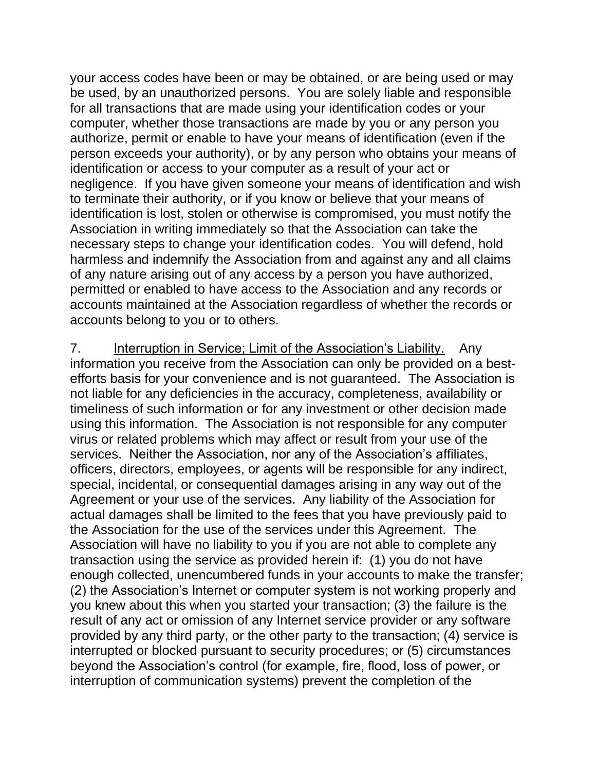your access codes have been or may be obtained, or are being used or may be used, by an unauthorized persons. You are solely liable and responsible for all transactions that are made using your identification codes or your computer, whether those transactions are made by you or any person you authorize, permit or enable to have your means of identification (even if the person exceeds your authority), or by any person who obtains your means of identification or access to your computer as a result of your act or negligence. If you have given someone your means of identification and wish to terminate their authority, or if you know or believe that your means of identification is lost, stolen or otherwise is compromised, you must notify the Association in writing immediately so that the Association can take the necessary steps to change your identification codes. You will defend, hold harmless and indemnify the Association from and against any and all claims of any nature arising out of any access by a person you have authorized, permitted or enabled to have access to the Association and any records or accounts maintained at the Association regardless of whether the records or accounts belong to you or to others.

7. Interruption in Service; Limit of the Association's Liability. Any information you receive from the Association can only be provided on a bestefforts basis for your convenience and is not guaranteed. The Association is not liable for any deficiencies in the accuracy, completeness, availability or timeliness of such information or for any investment or other decision made using this information. The Association is not responsible for any computer virus or related problems which may affect or result from your use of the services. Neither the Association, nor any of the Association's affiliates, officers, directors, employees, or agents will be responsible for any indirect, special, incidental, or consequential damages arising in any way out of the Agreement or your use of the services. Any liability of the Association for actual damages shall be limited to the fees that you have previously paid to the Association for the use of the services under this Agreement. The Association will have no liability to you if you are not able to complete any transaction using the service as provided herein if: (1) you do not have enough collected, unencumbered funds in your accounts to make the transfer; (2) the Association's Internet or computer system is not working properly and you knew about this when you started your transaction; (3) the failure is the result of any act or omission of any Internet service provider or any software provided by any third party, or the other party to the transaction; (4) service is interrupted or blocked pursuant to security procedures; or (5) circumstances beyond the Association's control (for example, fire, flood, loss of power, or interruption of communication systems) prevent the completion of the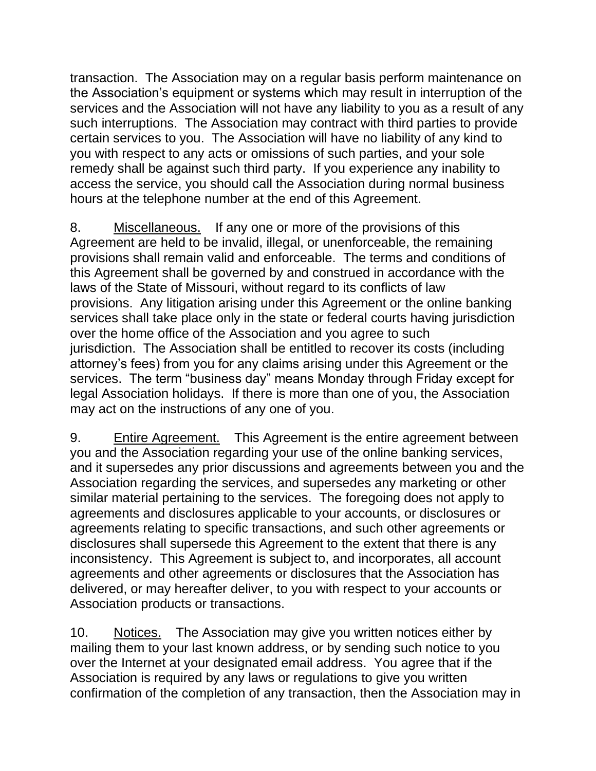transaction. The Association may on a regular basis perform maintenance on the Association's equipment or systems which may result in interruption of the services and the Association will not have any liability to you as a result of any such interruptions. The Association may contract with third parties to provide certain services to you. The Association will have no liability of any kind to you with respect to any acts or omissions of such parties, and your sole remedy shall be against such third party. If you experience any inability to access the service, you should call the Association during normal business hours at the telephone number at the end of this Agreement.

8. Miscellaneous. If any one or more of the provisions of this Agreement are held to be invalid, illegal, or unenforceable, the remaining provisions shall remain valid and enforceable. The terms and conditions of this Agreement shall be governed by and construed in accordance with the laws of the State of Missouri, without regard to its conflicts of law provisions. Any litigation arising under this Agreement or the online banking services shall take place only in the state or federal courts having jurisdiction over the home office of the Association and you agree to such jurisdiction. The Association shall be entitled to recover its costs (including attorney's fees) from you for any claims arising under this Agreement or the services. The term "business day" means Monday through Friday except for legal Association holidays. If there is more than one of you, the Association may act on the instructions of any one of you.

9. Entire Agreement. This Agreement is the entire agreement between you and the Association regarding your use of the online banking services, and it supersedes any prior discussions and agreements between you and the Association regarding the services, and supersedes any marketing or other similar material pertaining to the services. The foregoing does not apply to agreements and disclosures applicable to your accounts, or disclosures or agreements relating to specific transactions, and such other agreements or disclosures shall supersede this Agreement to the extent that there is any inconsistency. This Agreement is subject to, and incorporates, all account agreements and other agreements or disclosures that the Association has delivered, or may hereafter deliver, to you with respect to your accounts or Association products or transactions.

10. Notices. The Association may give you written notices either by mailing them to your last known address, or by sending such notice to you over the Internet at your designated email address. You agree that if the Association is required by any laws or regulations to give you written confirmation of the completion of any transaction, then the Association may in